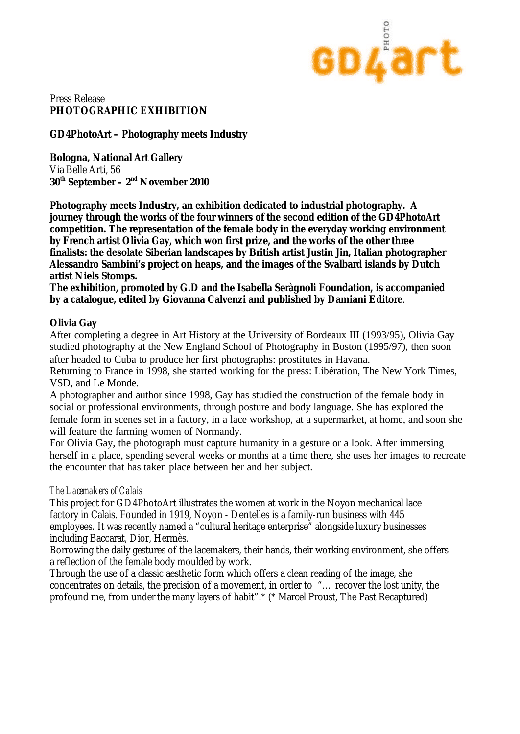

# Press Release **PHOTOGRAPHIC EXHIBITION**

**GD4PhotoArt – Photography meets Industry**

**Bologna, National Art Gallery** Via Belle Arti, 56 **30th September – 2nd November 2010** 

**Photography meets Industry, an exhibition dedicated to industrial photography. A journey through the works of the four winners of the second edition of the GD4PhotoArt competition. The representation of the female body in the everyday working environment by French artist Olivia Gay, which won first prize, and the works of the other three finalists: the desolate Siberian landscapes by British artist Justin Jin, Italian photographer Alessandro Sambini's project on heaps, and the images of the Svalbard islands by Dutch artist Niels Stomps.** 

**The exhibition, promoted by G.D and the Isabella Seràgnoli Foundation, is accompanied by a catalogue, edited by Giovanna Calvenzi and published by Damiani Editore**.

### **Olivia Gay**

After completing a degree in Art History at the University of Bordeaux III (1993/95), Olivia Gay studied photography at the New England School of Photography in Boston (1995/97), then soon after headed to Cuba to produce her first photographs: prostitutes in Havana.

Returning to France in 1998, she started working for the press: Libération, The New York Times, VSD, and Le Monde.

A photographer and author since 1998, Gay has studied the construction of the female body in social or professional environments, through posture and body language. She has explored the female form in scenes set in a factory, in a lace workshop, at a supermarket, at home, and soon she will feature the farming women of Normandy.

For Olivia Gay, the photograph must capture humanity in a gesture or a look. After immersing herself in a place, spending several weeks or months at a time there, she uses her images to recreate the encounter that has taken place between her and her subject.

### *The Lacemakers of Calais*

This project for GD4PhotoArt illustrates the women at work in the Noyon mechanical lace factory in Calais. Founded in 1919, Noyon - Dentelles is a family-run business with 445 employees. It was recently named a "cultural heritage enterprise" alongside luxury businesses including Baccarat, Dior, Hermès.

Borrowing the daily gestures of the lacemakers, their hands, their working environment, she offers a reflection of the female body moulded by work.

Through the use of a classic aesthetic form which offers a clean reading of the image, she concentrates on details, the precision of a movement, in order to "… recover the lost unity, the profound me, from under the many layers of habit".\* (\* Marcel Proust, The Past Recaptured)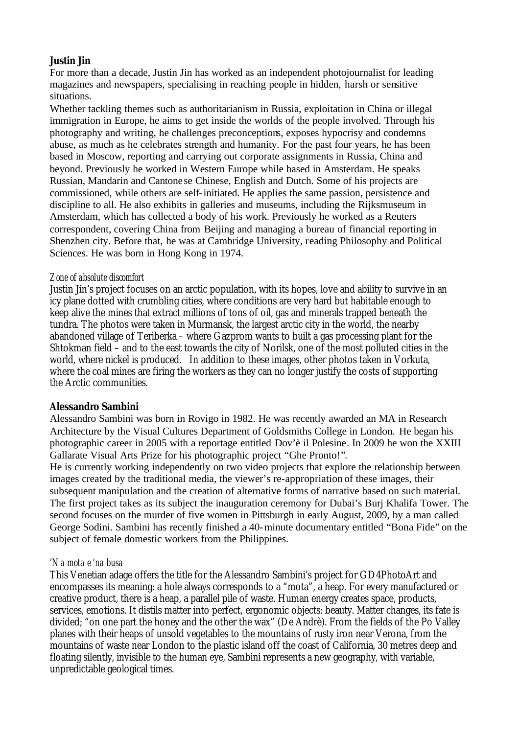## **Justin Jin**

For more than a decade, Justin Jin has worked as an independent photojournalist for leading magazines and newspapers, specialising in reaching people in hidden, harsh or sensitive situations.

Whether tackling themes such as authoritarianism in Russia, exploitation in China or illegal immigration in Europe, he aims to get inside the worlds of the people involved. Through his photography and writing, he challenges preconceptions, exposes hypocrisy and condemns abuse, as much as he celebrates strength and humanity. For the past four years, he has been based in Moscow, reporting and carrying out corporate assignments in Russia, China and beyond. Previously he worked in Western Europe while based in Amsterdam. He speaks Russian, Mandarin and Cantone se Chinese, English and Dutch. Some of his projects are commissioned, while others are self-initiated. He applies the same passion, persistence and discipline to all. He also exhibits in galleries and museums, including the Rijksmuseum in Amsterdam, which has collected a body of his work. Previously he worked as a Reuters correspondent, covering China from Beijing and managing a bureau of financial reporting in Shenzhen city. Before that, he was at Cambridge University, reading Philosophy and Political Sciences. He was born in Hong Kong in 1974.

## *Zone of absolute discomfort*

Justin Jin's project focuses on an arctic population, with its hopes, love and ability to survive in an icy plane dotted with crumbling cities, where conditions are very hard but habitable enough to keep alive the mines that extract millions of tons of oil, gas and minerals trapped beneath the tundra. The photos were taken in Murmansk, the largest arctic city in the world, the nearby abandoned village of Teriberka – where Gazprom wants to built a gas processing plant for the Shtokman field – and to the east towards the city of Norilsk, one of the most polluted cities in the world, where nickel is produced. In addition to these images, other photos taken in Vorkuta, where the coal mines are firing the workers as they can no longer justify the costs of supporting the Arctic communities.

## **Alessandro Sambini**

Alessandro Sambini was born in Rovigo in 1982. He was recently awarded an MA in Research Architecture by the Visual Cultures Department of Goldsmiths College in London. He began his photographic career in 2005 with a reportage entitled Dov'è il Polesine. In 2009 he won the XXIII Gallarate Visual Arts Prize for his photographic project "Ghe Pronto!".

He is currently working independently on two video projects that explore the relationship between images created by the traditional media, the viewer's re-appropriation of these images, their subsequent manipulation and the creation of alternative forms of narrative based on such material. The first project takes as its subject the inauguration ceremony for Dubai's Burj Khalifa Tower. The second focuses on the murder of five women in Pittsburgh in early August, 2009, by a man called George Sodini. Sambini has recently finished a 40-minute documentary entitled "Bona Fide" on the subject of female domestic workers from the Philippines.

### *'Na mota e 'na busa*

This Venetian adage offers the title for the Alessandro Sambini's project for GD4PhotoArt and encompasses its meaning: a hole always corresponds to a "mota", a heap. For every manufactured or creative product, there is a heap, a parallel pile of waste. Human energy creates space, products, services, emotions. It distils matter into perfect, ergonomic objects: beauty. Matter changes, its fate is divided; "on one part the honey and the other the wax" (De Andrè). From the fields of the Po Valley planes with their heaps of unsold vegetables to the mountains of rusty iron near Verona, from the mountains of waste near London to the plastic island off the coast of California, 30 metres deep and floating silently, invisible to the human eye, Sambini represents a new geography, with variable, unpredictable geological times.